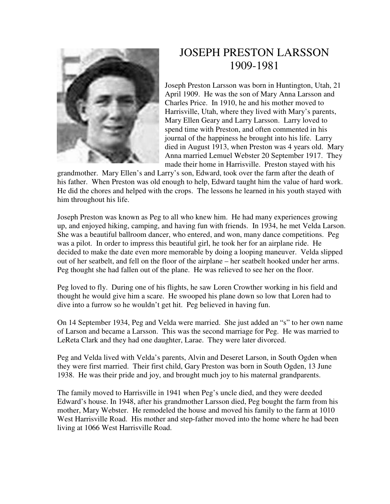

## JOSEPH PRESTON LARSSON 1909-1981

Joseph Preston Larsson was born in Huntington, Utah, 21 April 1909. He was the son of Mary Anna Larsson and Charles Price. In 1910, he and his mother moved to Harrisville, Utah, where they lived with Mary's parents, Mary Ellen Geary and Larry Larsson. Larry loved to spend time with Preston, and often commented in his journal of the happiness he brought into his life. Larry died in August 1913, when Preston was 4 years old. Mary Anna married Lemuel Webster 20 September 1917. They made their home in Harrisville. Preston stayed with his

grandmother. Mary Ellen's and Larry's son, Edward, took over the farm after the death of his father. When Preston was old enough to help, Edward taught him the value of hard work. He did the chores and helped with the crops. The lessons he learned in his youth stayed with him throughout his life.

Joseph Preston was known as Peg to all who knew him. He had many experiences growing up, and enjoyed hiking, camping, and having fun with friends. In 1934, he met Velda Larson. She was a beautiful ballroom dancer, who entered, and won, many dance competitions. Peg was a pilot. In order to impress this beautiful girl, he took her for an airplane ride. He decided to make the date even more memorable by doing a looping maneuver. Velda slipped out of her seatbelt, and fell on the floor of the airplane – her seatbelt hooked under her arms. Peg thought she had fallen out of the plane. He was relieved to see her on the floor.

Peg loved to fly. During one of his flights, he saw Loren Crowther working in his field and thought he would give him a scare. He swooped his plane down so low that Loren had to dive into a furrow so he wouldn't get hit. Peg believed in having fun.

On 14 September 1934, Peg and Velda were married. She just added an "s" to her own name of Larson and became a Larsson. This was the second marriage for Peg. He was married to LeReta Clark and they had one daughter, Larae. They were later divorced.

Peg and Velda lived with Velda's parents, Alvin and Deseret Larson, in South Ogden when they were first married. Their first child, Gary Preston was born in South Ogden, 13 June 1938. He was their pride and joy, and brought much joy to his maternal grandparents.

The family moved to Harrisville in 1941 when Peg's uncle died, and they were deeded Edward's house. In 1948, after his grandmother Larsson died, Peg bought the farm from his mother, Mary Webster. He remodeled the house and moved his family to the farm at 1010 West Harrisville Road. His mother and step-father moved into the home where he had been living at 1066 West Harrisville Road.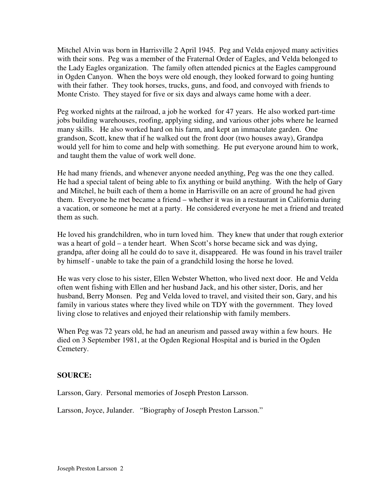Mitchel Alvin was born in Harrisville 2 April 1945. Peg and Velda enjoyed many activities with their sons. Peg was a member of the Fraternal Order of Eagles, and Velda belonged to the Lady Eagles organization. The family often attended picnics at the Eagles campground in Ogden Canyon. When the boys were old enough, they looked forward to going hunting with their father. They took horses, trucks, guns, and food, and convoyed with friends to Monte Cristo. They stayed for five or six days and always came home with a deer.

Peg worked nights at the railroad, a job he worked for 47 years. He also worked part-time jobs building warehouses, roofing, applying siding, and various other jobs where he learned many skills. He also worked hard on his farm, and kept an immaculate garden. One grandson, Scott, knew that if he walked out the front door (two houses away), Grandpa would yell for him to come and help with something. He put everyone around him to work, and taught them the value of work well done.

He had many friends, and whenever anyone needed anything, Peg was the one they called. He had a special talent of being able to fix anything or build anything. With the help of Gary and Mitchel, he built each of them a home in Harrisville on an acre of ground he had given them. Everyone he met became a friend – whether it was in a restaurant in California during a vacation, or someone he met at a party. He considered everyone he met a friend and treated them as such.

He loved his grandchildren, who in turn loved him. They knew that under that rough exterior was a heart of gold – a tender heart. When Scott's horse became sick and was dying, grandpa, after doing all he could do to save it, disappeared. He was found in his travel trailer by himself - unable to take the pain of a grandchild losing the horse he loved.

He was very close to his sister, Ellen Webster Whetton, who lived next door. He and Velda often went fishing with Ellen and her husband Jack, and his other sister, Doris, and her husband, Berry Monsen. Peg and Velda loved to travel, and visited their son, Gary, and his family in various states where they lived while on TDY with the government. They loved living close to relatives and enjoyed their relationship with family members.

When Peg was 72 years old, he had an aneurism and passed away within a few hours. He died on 3 September 1981, at the Ogden Regional Hospital and is buried in the Ogden Cemetery.

## **SOURCE:**

Larsson, Gary. Personal memories of Joseph Preston Larsson.

Larsson, Joyce, Julander. "Biography of Joseph Preston Larsson."